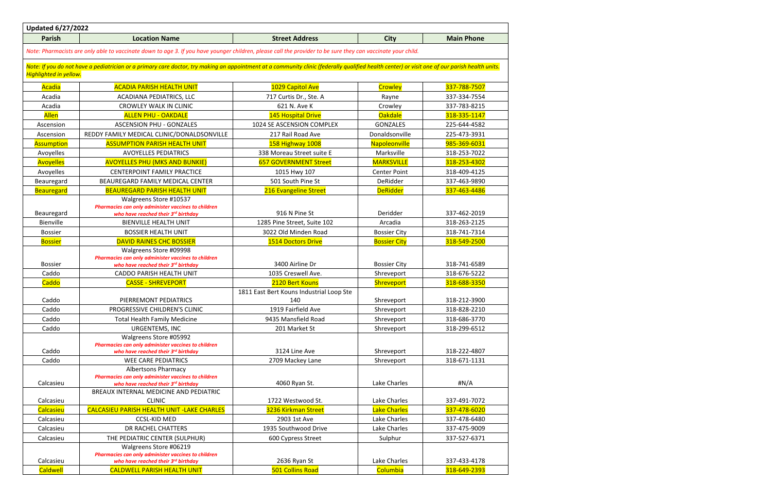| <b>Parish</b><br><b>Street Address</b><br><b>Main Phone</b><br><b>Location Name</b><br><b>City</b><br>Note: Pharmacists are only able to vaccinate down to age 3. If you have younger children, please call the provider to be sure they can vaccinate your child.<br>Note: If you do not have a pediatrician or a primary care doctor, try making an appointment at a community clinic (federally qualified health center) or visit one of our parish health units.<br><b>Highlighted in yellow.</b><br>Acadia<br><b>ACADIA PARISH HEALTH UNIT</b><br>1029 Capitol Ave<br>Crowley<br>337-788-7507<br>Acadia<br>337-334-7554<br>ACADIANA PEDIATRICS, LLC<br>717 Curtis Dr., Ste. A<br>Rayne<br>Acadia<br><b>CROWLEY WALK IN CLINIC</b><br>621 N. Ave K<br>Crowley<br>337-783-8215<br><b>Allen</b><br>Oakdale<br><b>ALLEN PHU - OAKDALE</b><br>145 Hospital Drive<br>318-335-1147<br><b>GONZALES</b><br>Ascension<br><b>ASCENSION PHU - GONZALES</b><br>1024 SE ASCENSION COMPLEX<br>225-644-4582<br>REDDY FAMILY MEDICAL CLINIC/DONALDSONVILLE<br>217 Rail Road Ave<br>Donaldsonville<br>225-473-3931<br>Ascension<br>985-369-6031<br><b>Assumption</b><br><b>ASSUMPTION PARISH HEALTH UNIT</b><br>158 Highway 1008<br>Napoleonville<br>338 Moreau Street suite E<br>Marksville<br>318-253-7022<br>Avoyelles<br><b>AVOYELLES PEDIATRICS</b><br><b>Avoyelles</b><br><b>AVOYELLES PHU (MKS AND BUNKIE)</b><br><b>MARKSVILLE</b><br>318-253-4302<br><b>657 GOVERNMENT Street</b><br>Avoyelles<br>318-409-4125<br><b>CENTERPOINT FAMILY PRACTICE</b><br>1015 Hwy 107<br><b>Center Point</b><br>501 South Pine St<br>DeRidder<br>337-463-9890<br>Beauregard<br>BEAUREGARD FAMILY MEDICAL CENTER<br><b>DeRidder</b><br><b>Beauregard</b><br>216 Evangeline Street<br>337-463-4486<br><b>BEAUREGARD PARISH HEALTH UNIT</b><br>Walgreens Store #10537 | <b>Updated 6/27/2022</b> |  |  |  |  |  |
|-----------------------------------------------------------------------------------------------------------------------------------------------------------------------------------------------------------------------------------------------------------------------------------------------------------------------------------------------------------------------------------------------------------------------------------------------------------------------------------------------------------------------------------------------------------------------------------------------------------------------------------------------------------------------------------------------------------------------------------------------------------------------------------------------------------------------------------------------------------------------------------------------------------------------------------------------------------------------------------------------------------------------------------------------------------------------------------------------------------------------------------------------------------------------------------------------------------------------------------------------------------------------------------------------------------------------------------------------------------------------------------------------------------------------------------------------------------------------------------------------------------------------------------------------------------------------------------------------------------------------------------------------------------------------------------------------------------------------------------------------------------------------------------------------------------------------------------------------|--------------------------|--|--|--|--|--|
|                                                                                                                                                                                                                                                                                                                                                                                                                                                                                                                                                                                                                                                                                                                                                                                                                                                                                                                                                                                                                                                                                                                                                                                                                                                                                                                                                                                                                                                                                                                                                                                                                                                                                                                                                                                                                                               |                          |  |  |  |  |  |
|                                                                                                                                                                                                                                                                                                                                                                                                                                                                                                                                                                                                                                                                                                                                                                                                                                                                                                                                                                                                                                                                                                                                                                                                                                                                                                                                                                                                                                                                                                                                                                                                                                                                                                                                                                                                                                               |                          |  |  |  |  |  |
|                                                                                                                                                                                                                                                                                                                                                                                                                                                                                                                                                                                                                                                                                                                                                                                                                                                                                                                                                                                                                                                                                                                                                                                                                                                                                                                                                                                                                                                                                                                                                                                                                                                                                                                                                                                                                                               |                          |  |  |  |  |  |
|                                                                                                                                                                                                                                                                                                                                                                                                                                                                                                                                                                                                                                                                                                                                                                                                                                                                                                                                                                                                                                                                                                                                                                                                                                                                                                                                                                                                                                                                                                                                                                                                                                                                                                                                                                                                                                               |                          |  |  |  |  |  |
|                                                                                                                                                                                                                                                                                                                                                                                                                                                                                                                                                                                                                                                                                                                                                                                                                                                                                                                                                                                                                                                                                                                                                                                                                                                                                                                                                                                                                                                                                                                                                                                                                                                                                                                                                                                                                                               |                          |  |  |  |  |  |
|                                                                                                                                                                                                                                                                                                                                                                                                                                                                                                                                                                                                                                                                                                                                                                                                                                                                                                                                                                                                                                                                                                                                                                                                                                                                                                                                                                                                                                                                                                                                                                                                                                                                                                                                                                                                                                               |                          |  |  |  |  |  |
|                                                                                                                                                                                                                                                                                                                                                                                                                                                                                                                                                                                                                                                                                                                                                                                                                                                                                                                                                                                                                                                                                                                                                                                                                                                                                                                                                                                                                                                                                                                                                                                                                                                                                                                                                                                                                                               |                          |  |  |  |  |  |
|                                                                                                                                                                                                                                                                                                                                                                                                                                                                                                                                                                                                                                                                                                                                                                                                                                                                                                                                                                                                                                                                                                                                                                                                                                                                                                                                                                                                                                                                                                                                                                                                                                                                                                                                                                                                                                               |                          |  |  |  |  |  |
|                                                                                                                                                                                                                                                                                                                                                                                                                                                                                                                                                                                                                                                                                                                                                                                                                                                                                                                                                                                                                                                                                                                                                                                                                                                                                                                                                                                                                                                                                                                                                                                                                                                                                                                                                                                                                                               |                          |  |  |  |  |  |
|                                                                                                                                                                                                                                                                                                                                                                                                                                                                                                                                                                                                                                                                                                                                                                                                                                                                                                                                                                                                                                                                                                                                                                                                                                                                                                                                                                                                                                                                                                                                                                                                                                                                                                                                                                                                                                               |                          |  |  |  |  |  |
|                                                                                                                                                                                                                                                                                                                                                                                                                                                                                                                                                                                                                                                                                                                                                                                                                                                                                                                                                                                                                                                                                                                                                                                                                                                                                                                                                                                                                                                                                                                                                                                                                                                                                                                                                                                                                                               |                          |  |  |  |  |  |
|                                                                                                                                                                                                                                                                                                                                                                                                                                                                                                                                                                                                                                                                                                                                                                                                                                                                                                                                                                                                                                                                                                                                                                                                                                                                                                                                                                                                                                                                                                                                                                                                                                                                                                                                                                                                                                               |                          |  |  |  |  |  |
|                                                                                                                                                                                                                                                                                                                                                                                                                                                                                                                                                                                                                                                                                                                                                                                                                                                                                                                                                                                                                                                                                                                                                                                                                                                                                                                                                                                                                                                                                                                                                                                                                                                                                                                                                                                                                                               |                          |  |  |  |  |  |
|                                                                                                                                                                                                                                                                                                                                                                                                                                                                                                                                                                                                                                                                                                                                                                                                                                                                                                                                                                                                                                                                                                                                                                                                                                                                                                                                                                                                                                                                                                                                                                                                                                                                                                                                                                                                                                               |                          |  |  |  |  |  |
|                                                                                                                                                                                                                                                                                                                                                                                                                                                                                                                                                                                                                                                                                                                                                                                                                                                                                                                                                                                                                                                                                                                                                                                                                                                                                                                                                                                                                                                                                                                                                                                                                                                                                                                                                                                                                                               |                          |  |  |  |  |  |
|                                                                                                                                                                                                                                                                                                                                                                                                                                                                                                                                                                                                                                                                                                                                                                                                                                                                                                                                                                                                                                                                                                                                                                                                                                                                                                                                                                                                                                                                                                                                                                                                                                                                                                                                                                                                                                               |                          |  |  |  |  |  |
| Pharmacies can only administer vaccines to children                                                                                                                                                                                                                                                                                                                                                                                                                                                                                                                                                                                                                                                                                                                                                                                                                                                                                                                                                                                                                                                                                                                                                                                                                                                                                                                                                                                                                                                                                                                                                                                                                                                                                                                                                                                           |                          |  |  |  |  |  |
| 916 N Pine St<br>Beauregard<br>Deridder<br>337-462-2019<br>who have reached their 3rd birthday                                                                                                                                                                                                                                                                                                                                                                                                                                                                                                                                                                                                                                                                                                                                                                                                                                                                                                                                                                                                                                                                                                                                                                                                                                                                                                                                                                                                                                                                                                                                                                                                                                                                                                                                                |                          |  |  |  |  |  |
| Bienville<br>Arcadia<br>318-263-2125<br><b>BIENVILLE HEALTH UNIT</b><br>1285 Pine Street, Suite 102                                                                                                                                                                                                                                                                                                                                                                                                                                                                                                                                                                                                                                                                                                                                                                                                                                                                                                                                                                                                                                                                                                                                                                                                                                                                                                                                                                                                                                                                                                                                                                                                                                                                                                                                           |                          |  |  |  |  |  |
| 3022 Old Minden Road<br><b>Bossier</b><br><b>BOSSIER HEALTH UNIT</b><br><b>Bossier City</b><br>318-741-7314                                                                                                                                                                                                                                                                                                                                                                                                                                                                                                                                                                                                                                                                                                                                                                                                                                                                                                                                                                                                                                                                                                                                                                                                                                                                                                                                                                                                                                                                                                                                                                                                                                                                                                                                   |                          |  |  |  |  |  |
| <b>DAVID RAINES CHC BOSSIER</b><br>318-549-2500<br><b>Bossier</b><br><b>1514 Doctors Drive</b><br><b>Bossier City</b>                                                                                                                                                                                                                                                                                                                                                                                                                                                                                                                                                                                                                                                                                                                                                                                                                                                                                                                                                                                                                                                                                                                                                                                                                                                                                                                                                                                                                                                                                                                                                                                                                                                                                                                         |                          |  |  |  |  |  |
| Walgreens Store #09998<br>Pharmacies can only administer vaccines to children                                                                                                                                                                                                                                                                                                                                                                                                                                                                                                                                                                                                                                                                                                                                                                                                                                                                                                                                                                                                                                                                                                                                                                                                                                                                                                                                                                                                                                                                                                                                                                                                                                                                                                                                                                 |                          |  |  |  |  |  |
| 3400 Airline Dr<br>318-741-6589<br><b>Bossier</b><br><b>Bossier City</b><br>who have reached their 3rd birthday                                                                                                                                                                                                                                                                                                                                                                                                                                                                                                                                                                                                                                                                                                                                                                                                                                                                                                                                                                                                                                                                                                                                                                                                                                                                                                                                                                                                                                                                                                                                                                                                                                                                                                                               |                          |  |  |  |  |  |
| Caddo<br>CADDO PARISH HEALTH UNIT<br>1035 Creswell Ave.<br>Shreveport<br>318-676-5222                                                                                                                                                                                                                                                                                                                                                                                                                                                                                                                                                                                                                                                                                                                                                                                                                                                                                                                                                                                                                                                                                                                                                                                                                                                                                                                                                                                                                                                                                                                                                                                                                                                                                                                                                         |                          |  |  |  |  |  |
| Caddo<br><b>CASSE - SHREVEPORT</b><br>2120 Bert Kouns<br>318-688-3350<br>Shreveport                                                                                                                                                                                                                                                                                                                                                                                                                                                                                                                                                                                                                                                                                                                                                                                                                                                                                                                                                                                                                                                                                                                                                                                                                                                                                                                                                                                                                                                                                                                                                                                                                                                                                                                                                           |                          |  |  |  |  |  |
| 1811 East Bert Kouns Industrial Loop Ste                                                                                                                                                                                                                                                                                                                                                                                                                                                                                                                                                                                                                                                                                                                                                                                                                                                                                                                                                                                                                                                                                                                                                                                                                                                                                                                                                                                                                                                                                                                                                                                                                                                                                                                                                                                                      |                          |  |  |  |  |  |
| Caddo<br>PIERREMONT PEDIATRICS<br>140<br>Shreveport<br>318-212-3900                                                                                                                                                                                                                                                                                                                                                                                                                                                                                                                                                                                                                                                                                                                                                                                                                                                                                                                                                                                                                                                                                                                                                                                                                                                                                                                                                                                                                                                                                                                                                                                                                                                                                                                                                                           |                          |  |  |  |  |  |
| Caddo<br>PROGRESSIVE CHILDREN'S CLINIC<br>1919 Fairfield Ave<br>318-828-2210<br>Shreveport                                                                                                                                                                                                                                                                                                                                                                                                                                                                                                                                                                                                                                                                                                                                                                                                                                                                                                                                                                                                                                                                                                                                                                                                                                                                                                                                                                                                                                                                                                                                                                                                                                                                                                                                                    |                          |  |  |  |  |  |
| Caddo<br>9435 Mansfield Road<br><b>Total Health Family Medicine</b><br>Shreveport<br>318-686-3770                                                                                                                                                                                                                                                                                                                                                                                                                                                                                                                                                                                                                                                                                                                                                                                                                                                                                                                                                                                                                                                                                                                                                                                                                                                                                                                                                                                                                                                                                                                                                                                                                                                                                                                                             |                          |  |  |  |  |  |
| Caddo<br>Shreveport<br>URGENTEMS, INC<br>201 Market St<br>318-299-6512                                                                                                                                                                                                                                                                                                                                                                                                                                                                                                                                                                                                                                                                                                                                                                                                                                                                                                                                                                                                                                                                                                                                                                                                                                                                                                                                                                                                                                                                                                                                                                                                                                                                                                                                                                        |                          |  |  |  |  |  |
| Walgreens Store #05992                                                                                                                                                                                                                                                                                                                                                                                                                                                                                                                                                                                                                                                                                                                                                                                                                                                                                                                                                                                                                                                                                                                                                                                                                                                                                                                                                                                                                                                                                                                                                                                                                                                                                                                                                                                                                        |                          |  |  |  |  |  |
| Pharmacies can only administer vaccines to children                                                                                                                                                                                                                                                                                                                                                                                                                                                                                                                                                                                                                                                                                                                                                                                                                                                                                                                                                                                                                                                                                                                                                                                                                                                                                                                                                                                                                                                                                                                                                                                                                                                                                                                                                                                           |                          |  |  |  |  |  |
| Caddo<br>Shreveport<br>3124 Line Ave<br>318-222-4807<br>who have reached their 3rd birthday                                                                                                                                                                                                                                                                                                                                                                                                                                                                                                                                                                                                                                                                                                                                                                                                                                                                                                                                                                                                                                                                                                                                                                                                                                                                                                                                                                                                                                                                                                                                                                                                                                                                                                                                                   |                          |  |  |  |  |  |
| Caddo<br><b>WEE CARE PEDIATRICS</b><br>2709 Mackey Lane<br>Shreveport<br>318-671-1131<br><b>Albertsons Pharmacy</b>                                                                                                                                                                                                                                                                                                                                                                                                                                                                                                                                                                                                                                                                                                                                                                                                                                                                                                                                                                                                                                                                                                                                                                                                                                                                                                                                                                                                                                                                                                                                                                                                                                                                                                                           |                          |  |  |  |  |  |
| Pharmacies can only administer vaccines to children                                                                                                                                                                                                                                                                                                                                                                                                                                                                                                                                                                                                                                                                                                                                                                                                                                                                                                                                                                                                                                                                                                                                                                                                                                                                                                                                                                                                                                                                                                                                                                                                                                                                                                                                                                                           |                          |  |  |  |  |  |
| Lake Charles<br>H N/A<br>Calcasieu<br>4060 Ryan St.<br>who have reached their 3rd birthday                                                                                                                                                                                                                                                                                                                                                                                                                                                                                                                                                                                                                                                                                                                                                                                                                                                                                                                                                                                                                                                                                                                                                                                                                                                                                                                                                                                                                                                                                                                                                                                                                                                                                                                                                    |                          |  |  |  |  |  |
| BREAUX INTERNAL MEDICINE AND PEDIATRIC                                                                                                                                                                                                                                                                                                                                                                                                                                                                                                                                                                                                                                                                                                                                                                                                                                                                                                                                                                                                                                                                                                                                                                                                                                                                                                                                                                                                                                                                                                                                                                                                                                                                                                                                                                                                        |                          |  |  |  |  |  |
| <b>CLINIC</b><br>1722 Westwood St.<br>Calcasieu<br>Lake Charles<br>337-491-7072                                                                                                                                                                                                                                                                                                                                                                                                                                                                                                                                                                                                                                                                                                                                                                                                                                                                                                                                                                                                                                                                                                                                                                                                                                                                                                                                                                                                                                                                                                                                                                                                                                                                                                                                                               |                          |  |  |  |  |  |
| Calcasieu<br><b>CALCASIEU PARISH HEALTH UNIT -LAKE CHARLES</b><br><b>Lake Charles</b><br>3236 Kirkman Street<br>337-478-6020                                                                                                                                                                                                                                                                                                                                                                                                                                                                                                                                                                                                                                                                                                                                                                                                                                                                                                                                                                                                                                                                                                                                                                                                                                                                                                                                                                                                                                                                                                                                                                                                                                                                                                                  |                          |  |  |  |  |  |
| Lake Charles<br>Calcasieu<br><b>CCSL-KID MED</b><br>2903 1st Ave<br>337-478-6480                                                                                                                                                                                                                                                                                                                                                                                                                                                                                                                                                                                                                                                                                                                                                                                                                                                                                                                                                                                                                                                                                                                                                                                                                                                                                                                                                                                                                                                                                                                                                                                                                                                                                                                                                              |                          |  |  |  |  |  |
| DR RACHEL CHATTERS<br>1935 Southwood Drive<br>Lake Charles<br>337-475-9009<br>Calcasieu                                                                                                                                                                                                                                                                                                                                                                                                                                                                                                                                                                                                                                                                                                                                                                                                                                                                                                                                                                                                                                                                                                                                                                                                                                                                                                                                                                                                                                                                                                                                                                                                                                                                                                                                                       |                          |  |  |  |  |  |
| Calcasieu<br>THE PEDIATRIC CENTER (SULPHUR)<br>600 Cypress Street<br>Sulphur<br>337-527-6371                                                                                                                                                                                                                                                                                                                                                                                                                                                                                                                                                                                                                                                                                                                                                                                                                                                                                                                                                                                                                                                                                                                                                                                                                                                                                                                                                                                                                                                                                                                                                                                                                                                                                                                                                  |                          |  |  |  |  |  |
| Walgreens Store #06219                                                                                                                                                                                                                                                                                                                                                                                                                                                                                                                                                                                                                                                                                                                                                                                                                                                                                                                                                                                                                                                                                                                                                                                                                                                                                                                                                                                                                                                                                                                                                                                                                                                                                                                                                                                                                        |                          |  |  |  |  |  |
| Pharmacies can only administer vaccines to children<br>Lake Charles<br>337-433-4178<br>Calcasieu<br>2636 Ryan St<br>who have reached their 3rd birthday                                                                                                                                                                                                                                                                                                                                                                                                                                                                                                                                                                                                                                                                                                                                                                                                                                                                                                                                                                                                                                                                                                                                                                                                                                                                                                                                                                                                                                                                                                                                                                                                                                                                                       |                          |  |  |  |  |  |
| <b>Caldwell</b><br>Columbia<br>318-649-2393<br><b>501 Collins Road</b><br><b>CALDWELL PARISH HEALTH UNIT</b>                                                                                                                                                                                                                                                                                                                                                                                                                                                                                                                                                                                                                                                                                                                                                                                                                                                                                                                                                                                                                                                                                                                                                                                                                                                                                                                                                                                                                                                                                                                                                                                                                                                                                                                                  |                          |  |  |  |  |  |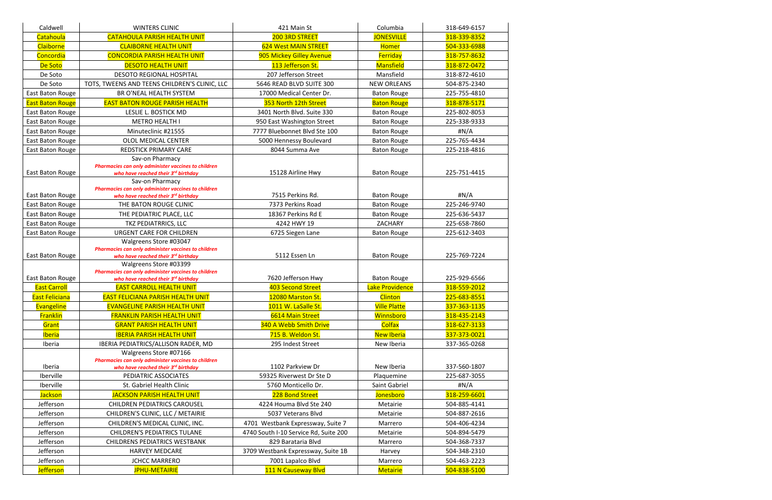| Caldwell                | <b>WINTERS CLINIC</b>                                                                                                            | 421 Main St                           | Columbia            | 318-649-6157 |
|-------------------------|----------------------------------------------------------------------------------------------------------------------------------|---------------------------------------|---------------------|--------------|
| Catahoula               | <b>CATAHOULA PARISH HEALTH UNIT</b>                                                                                              | 200 3RD STREET                        | <b>JONESVILLE</b>   | 318-339-8352 |
| Claiborne               | <b>CLAIBORNE HEALTH UNIT</b>                                                                                                     | <b>624 West MAIN STREET</b>           | <b>Homer</b>        | 504-333-6988 |
| Concordia               | <b>CONCORDIA PARISH HEALTH UNIT</b>                                                                                              | 905 Mickey Gilley Avenue              | Ferriday            | 318-757-8632 |
| De Soto                 | <b>DESOTO HEALTH UNIT</b>                                                                                                        | 113 Jefferson St.                     | <b>Mansfield</b>    | 318-872-0472 |
| De Soto                 | <b>DESOTO REGIONAL HOSPITAL</b>                                                                                                  | 207 Jefferson Street                  | Mansfield           | 318-872-4610 |
| De Soto                 | TOTS, TWEENS AND TEENS CHILDREN'S CLINIC, LLC                                                                                    | 5646 READ BLVD SUITE 300              | <b>NEW ORLEANS</b>  | 504-875-2340 |
| East Baton Rouge        | BR O'NEAL HEALTH SYSTEM                                                                                                          | 17000 Medical Center Dr.              | <b>Baton Rouge</b>  | 225-755-4810 |
| <b>East Baton Rouge</b> | <b>EAST BATON ROUGE PARISH HEALTH</b>                                                                                            | 353 North 12th Street                 | <b>Baton Rouge</b>  | 318-878-5171 |
| East Baton Rouge        | LESLIE L. BOSTICK MD                                                                                                             | 3401 North Blvd. Suite 330            | <b>Baton Rouge</b>  | 225-802-8053 |
| East Baton Rouge        | <b>METRO HEALTH I</b>                                                                                                            | 950 East Washington Street            | <b>Baton Rouge</b>  | 225-338-9333 |
| East Baton Rouge        | Minuteclinic #21555                                                                                                              | 7777 Bluebonnet Blvd Ste 100          | <b>Baton Rouge</b>  | #N/A         |
| East Baton Rouge        | OLOL MEDICAL CENTER                                                                                                              | 5000 Hennessy Boulevard               | <b>Baton Rouge</b>  | 225-765-4434 |
| East Baton Rouge        | <b>REDSTICK PRIMARY CARE</b>                                                                                                     | 8044 Summa Ave                        | <b>Baton Rouge</b>  | 225-218-4816 |
| East Baton Rouge        | Sav-on Pharmacy<br>Pharmacies can only administer vaccines to children<br>who have reached their 3rd birthday<br>Sav-on Pharmacy | 15128 Airline Hwy                     | <b>Baton Rouge</b>  | 225-751-4415 |
|                         | Pharmacies can only administer vaccines to children                                                                              |                                       |                     |              |
| East Baton Rouge        | who have reached their 3rd birthday                                                                                              | 7515 Perkins Rd.                      | <b>Baton Rouge</b>  | $\sharp N/A$ |
| East Baton Rouge        | THE BATON ROUGE CLINIC                                                                                                           | 7373 Perkins Road                     | <b>Baton Rouge</b>  | 225-246-9740 |
| East Baton Rouge        | THE PEDIATRIC PLACE, LLC                                                                                                         | 18367 Perkins Rd E                    | <b>Baton Rouge</b>  | 225-636-5437 |
| East Baton Rouge        | TKZ PEDIATRRICS, LLC                                                                                                             | 4242 HWY 19                           | ZACHARY             | 225-658-7860 |
| East Baton Rouge        | <b>URGENT CARE FOR CHILDREN</b>                                                                                                  | 6725 Siegen Lane                      | <b>Baton Rouge</b>  | 225-612-3403 |
|                         | Walgreens Store #03047                                                                                                           |                                       |                     |              |
| East Baton Rouge        | Pharmacies can only administer vaccines to children<br>who have reached their 3rd birthday                                       | 5112 Essen Ln                         | <b>Baton Rouge</b>  | 225-769-7224 |
|                         | Walgreens Store #03399                                                                                                           |                                       |                     |              |
|                         | Pharmacies can only administer vaccines to children                                                                              |                                       |                     |              |
| East Baton Rouge        | who have reached their 3rd birthday                                                                                              | 7620 Jefferson Hwy                    | <b>Baton Rouge</b>  | 225-929-6566 |
| <b>East Carroll</b>     | <b>EAST CARROLL HEALTH UNIT</b>                                                                                                  | 403 Second Street                     | Lake Providence     | 318-559-2012 |
| <b>East Feliciana</b>   | <b>EAST FELICIANA PARISH HEALTH UNIT</b>                                                                                         | 12080 Marston St.                     | Clinton             | 225-683-8551 |
| Evangeline              | <b>EVANGELINE PARISH HEALTH UNIT</b>                                                                                             | 1011 W. LaSalle St.                   | <b>Ville Platte</b> | 337-363-1135 |
| <b>Franklin</b>         | <b>FRANKLIN PARISH HEALTH UNIT</b>                                                                                               | 6614 Main Street                      | Winnsboro           | 318-435-2143 |
| Grant                   | <b>GRANT PARISH HEALTH UNIT</b>                                                                                                  | 340 A Webb Smith Drive                | <b>Colfax</b>       | 318-627-3133 |
| <b>Iberia</b>           | <b>IBERIA PARISH HEALTH UNIT</b>                                                                                                 | 715 B. Weldon St.                     | <b>New Iberia</b>   | 337-373-0021 |
| Iberia                  | IBERIA PEDIATRICS/ALLISON RADER, MD<br>Walgreens Store #07166                                                                    | 295 Indest Street                     | New Iberia          | 337-365-0268 |
|                         | Pharmacies can only administer vaccines to children                                                                              |                                       |                     |              |
| Iberia                  | who have reached their 3rd birthday                                                                                              | 1102 Parkview Dr                      | New Iberia          | 337-560-1807 |
| Iberville               | PEDIATRIC ASSOCIATES                                                                                                             | 59325 Riverwest Dr Ste D              | Plaquemine          | 225-687-3055 |
| Iberville               | St. Gabriel Health Clinic                                                                                                        | 5760 Monticello Dr.                   | Saint Gabriel       | $\sharp N/A$ |
| <b>Jackson</b>          | <b>JACKSON PARISH HEALTH UNIT</b>                                                                                                | 228 Bond Street                       | Jonesboro           | 318-259-6601 |
| Jefferson               | <b>CHILDREN PEDIATRICS CAROUSEL</b>                                                                                              | 4224 Houma Blvd Ste 240               | Metairie            | 504-885-4141 |
| Jefferson               | CHILDREN'S CLINIC, LLC / METAIRIE                                                                                                | 5037 Veterans Blvd                    | Metairie            | 504-887-2616 |
| Jefferson               | CHILDREN'S MEDICAL CLINIC, INC.                                                                                                  | 4701 Westbank Expressway, Suite 7     | Marrero             | 504-406-4234 |
| Jefferson               | <b>CHILDREN'S PEDIATRICS TULANE</b>                                                                                              | 4740 South I-10 Service Rd, Suite 200 | Metairie            | 504-894-5479 |
| Jefferson               | <b>CHILDRENS PEDIATRICS WESTBANK</b>                                                                                             | 829 Barataria Blvd                    | Marrero             | 504-368-7337 |
| Jefferson               | <b>HARVEY MEDCARE</b>                                                                                                            | 3709 Westbank Expressway, Suite 1B    | Harvey              | 504-348-2310 |
| Jefferson               | <b>JCHCC MARRERO</b>                                                                                                             | 7001 Lapalco Blvd                     | Marrero             | 504-463-2223 |
| <b>Jefferson</b>        | <b>JPHU-METAIRIE</b>                                                                                                             | 111 N Causeway Blvd                   | <b>Metairie</b>     | 504-838-5100 |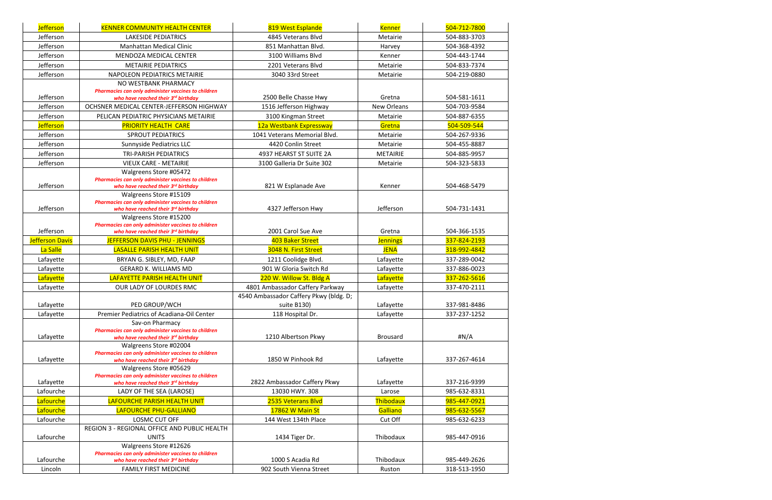| <b>Jefferson</b>       | <b>KENNER COMMUNITY HEALTH CENTER</b>                                                                                | 819 West Esplande                                     | <b>Kenner</b>      | 504-712-7800 |
|------------------------|----------------------------------------------------------------------------------------------------------------------|-------------------------------------------------------|--------------------|--------------|
| Jefferson              | LAKESIDE PEDIATRICS                                                                                                  | 4845 Veterans Blvd                                    | Metairie           | 504-883-3703 |
| Jefferson              | <b>Manhattan Medical Clinic</b>                                                                                      | 851 Manhattan Blvd.                                   | Harvey             | 504-368-4392 |
| Jefferson              | <b>MENDOZA MEDICAL CENTER</b>                                                                                        | 3100 Williams Blvd                                    | Kenner             | 504-443-1744 |
| Jefferson              | <b>METAIRIE PEDIATRICS</b>                                                                                           | 2201 Veterans Blvd                                    | Metairie           | 504-833-7374 |
| Jefferson              | NAPOLEON PEDIATRICS METAIRIE                                                                                         | 3040 33rd Street                                      | Metairie           | 504-219-0880 |
| Jefferson              | NO WESTBANK PHARMACY<br>Pharmacies can only administer vaccines to children<br>who have reached their 3rd birthday   | 2500 Belle Chasse Hwy                                 | Gretna             | 504-581-1611 |
| Jefferson              | OCHSNER MEDICAL CENTER-JEFFERSON HIGHWAY                                                                             | 1516 Jefferson Highway                                | <b>New Orleans</b> | 504-703-9584 |
| Jefferson              | PELICAN PEDIATRIC PHYSICIANS METAIRIE                                                                                | 3100 Kingman Street                                   | Metairie           | 504-887-6355 |
| <b>Jefferson</b>       | <b>PRIORITY HEALTH CARE</b>                                                                                          | 12a Westbank Expressway                               | Gretna             | 504-509-544  |
| Jefferson              | <b>SPROUT PEDIATRICS</b>                                                                                             | 1041 Veterans Memorial Blvd.                          | Metairie           | 504-267-9336 |
| Jefferson              | Sunnyside Pediatrics LLC                                                                                             | 4420 Conlin Street                                    | Metairie           | 504-455-8887 |
| Jefferson              | <b>TRI-PARISH PEDIATRICS</b>                                                                                         | 4937 HEARST ST SUITE 2A                               | <b>METAIRIE</b>    | 504-885-9957 |
| Jefferson              | <b>VIEUX CARE - METAIRIE</b>                                                                                         | 3100 Galleria Dr Suite 302                            | Metairie           | 504-323-5833 |
|                        | Walgreens Store #05472                                                                                               |                                                       |                    |              |
| Jefferson              | Pharmacies can only administer vaccines to children                                                                  |                                                       |                    |              |
|                        | who have reached their 3rd birthday<br>Walgreens Store #15109                                                        | 821 W Esplanade Ave                                   | Kenner             | 504-468-5479 |
| Jefferson              | Pharmacies can only administer vaccines to children<br>who have reached their 3rd birthday                           | 4327 Jefferson Hwy                                    | Jefferson          | 504-731-1431 |
| Jefferson              | Walgreens Store #15200<br>Pharmacies can only administer vaccines to children<br>who have reached their 3rd birthday | 2001 Carol Sue Ave                                    | Gretna             | 504-366-1535 |
| <b>Jefferson Davis</b> | JEFFERSON DAVIS PHU - JENNINGS                                                                                       | 403 Baker Street                                      | <b>Jennings</b>    | 337-824-2193 |
| La Salle               | <b>LASALLE PARISH HEALTH UNIT</b>                                                                                    | 3048 N. First Street                                  | <b>JENA</b>        | 318-992-4842 |
| Lafayette              | BRYAN G. SIBLEY, MD, FAAP                                                                                            | 1211 Coolidge Blvd.                                   | Lafayette          | 337-289-0042 |
| Lafayette              | <b>GERARD K. WILLIAMS MD</b>                                                                                         | 901 W Gloria Switch Rd                                | Lafayette          | 337-886-0023 |
| Lafayette              | LAFAYETTE PARISH HEALTH UNIT                                                                                         | 220 W. Willow St. Bldg A                              | Lafayette          | 337-262-5616 |
| Lafayette              | OUR LADY OF LOURDES RMC                                                                                              | 4801 Ambassador Caffery Parkway                       | Lafayette          | 337-470-2111 |
| Lafayette              | PED GROUP/WCH                                                                                                        | 4540 Ambassador Caffery Pkwy (bldg. D;<br>suite B130) | Lafayette          | 337-981-8486 |
| Lafayette              | Premier Pediatrics of Acadiana-Oil Center                                                                            | 118 Hospital Dr.                                      | Lafayette          | 337-237-1252 |
| Lafayette              | Sav-on Pharmacy<br>Pharmacies can only administer vaccines to children<br>who have reached their 3rd birthday        | 1210 Albertson Pkwy                                   | <b>Brousard</b>    | #N/A         |
| Lafayette              | Walgreens Store #02004<br>Pharmacies can only administer vaccines to children<br>who have reached their 3rd birthday | 1850 W Pinhook Rd                                     | Lafayette          | 337-267-4614 |
| Lafayette              | Walgreens Store #05629                                                                                               |                                                       |                    |              |
| Lafourche              | Pharmacies can only administer vaccines to children<br>who have reached their 3rd birthday                           | 2822 Ambassador Caffery Pkwy                          | Lafayette          | 337-216-9399 |
| Lafourche              | LADY OF THE SEA (LAROSE)                                                                                             | 13030 HWY. 308                                        | Larose             | 985-632-8331 |
|                        | LAFOURCHE PARISH HEALTH UNIT                                                                                         | 2535 Veterans Blvd                                    | Thibodaux          | 985-447-0921 |
| Lafourche              | LAFOURCHE PHU-GALLIANO                                                                                               | 17862 W Main St                                       | Galliano           | 985-632-5567 |
| Lafourche              | LOSMC CUT OFF                                                                                                        | 144 West 134th Place                                  | Cut Off            | 985-632-6233 |
| Lafourche              | REGION 3 - REGIONAL OFFICE AND PUBLIC HEALTH<br><b>UNITS</b>                                                         | 1434 Tiger Dr.                                        | Thibodaux          | 985-447-0916 |
|                        | Walgreens Store #12626                                                                                               |                                                       |                    |              |
| Lafourche              | Pharmacies can only administer vaccines to children<br>who have reached their 3rd birthday                           | 1000 S Acadia Rd                                      | Thibodaux          | 985-449-2626 |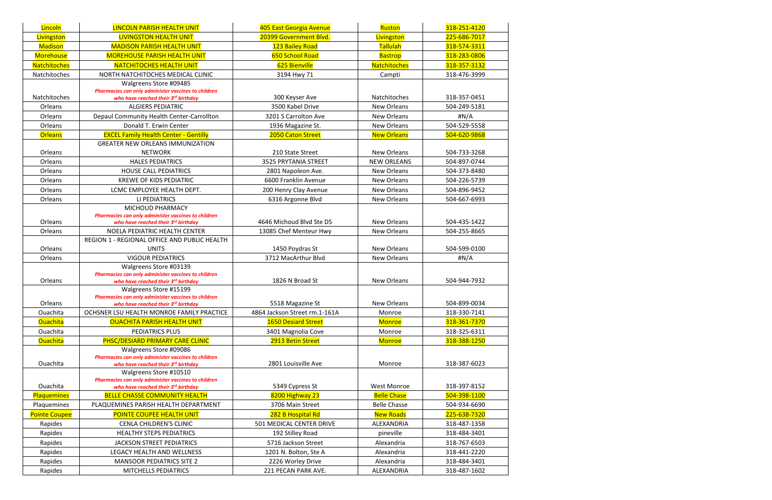| Lincoln              | <b>LINCOLN PARISH HEALTH UNIT</b>                                                                                                              | 405 East Georgia Avenue       | Ruston              | 318-251-4120 |
|----------------------|------------------------------------------------------------------------------------------------------------------------------------------------|-------------------------------|---------------------|--------------|
| Livingston           | <b>LIVINGSTON HEALTH UNIT</b>                                                                                                                  | 20399 Government Blvd.        | Livingston          | 225-686-7017 |
| <b>Madison</b>       | <b>MADISON PARISH HEALTH UNIT</b>                                                                                                              | 123 Bailey Road               | Tallulah            | 318-574-3311 |
| Morehouse            | <b>MOREHOUSE PARISH HEALTH UNIT</b>                                                                                                            | 650 School Road               | <b>Bastrop</b>      | 318-283-0806 |
| <b>Natchitoches</b>  | <b>NATCHITOCHES HEALTH UNIT</b>                                                                                                                | 625 Bienville                 | <b>Natchitoches</b> | 318-357-3132 |
| Natchitoches         | NORTH NATCHITOCHES MEDICAL CLINIC                                                                                                              | 3194 Hwy 71                   | Campti              | 318-476-3999 |
| Natchitoches         | Walgreens Store #09485<br>Pharmacies can only administer vaccines to children<br>who have reached their 3rd birthday                           | 300 Keyser Ave                | Natchitoches        | 318-357-0451 |
| Orleans              | <b>ALGIERS PEDIATRIC</b>                                                                                                                       | 3500 Kabel Drive              | New Orleans         | 504-249-5181 |
| Orleans              | Depaul Community Health Center-Carrollton                                                                                                      | 3201 S Carrolton Ave          | New Orleans         | $\sharp N/A$ |
| Orleans              | Donald T. Erwin Center                                                                                                                         | 1936 Magazine St.             | <b>New Orleans</b>  | 504-529-5558 |
| <b>Orleans</b>       | <b>EXCEL Family Health Center - Gentilly</b>                                                                                                   | 2050 Caton Street             | <b>New Orleans</b>  | 504-620-9868 |
| Orleans              | <b>GREATER NEW ORLEANS IMMUNIZATION</b><br><b>NETWORK</b>                                                                                      | 210 State Street              | New Orleans         | 504-733-3268 |
| Orleans              | <b>HALES PEDIATRICS</b>                                                                                                                        | 3525 PRYTANIA STREET          | <b>NEW ORLEANS</b>  | 504-897-0744 |
| Orleans              | <b>HOUSE CALL PEDIATRICS</b>                                                                                                                   | 2801 Napoleon Ave.            | New Orleans         | 504-373-8480 |
| Orleans              | <b>KREWE OF KIDS PEDIATRIC</b>                                                                                                                 | 6600 Franklin Avenue          | New Orleans         | 504-226-5739 |
| Orleans              | LCMC EMPLOYEE HEALTH DEPT.                                                                                                                     | 200 Henry Clay Avenue         | New Orleans         | 504-896-9452 |
| Orleans              | LI PEDIATRICS                                                                                                                                  | 6316 Argonne Blvd             | New Orleans         | 504-667-6993 |
| Orleans              | MICHOUD PHARMACY<br>Pharmacies can only administer vaccines to children<br>who have reached their 3rd birthday                                 | 4646 Michoud Blvd Ste D5      | <b>New Orleans</b>  | 504-435-1422 |
| Orleans              | NOELA PEDIATRIC HEALTH CENTER                                                                                                                  | 13085 Chef Menteur Hwy        | New Orleans         | 504-255-8665 |
| Orleans              | REGION 1 - REGIONAL OFFICE AND PUBLIC HEALTH<br><b>UNITS</b>                                                                                   | 1450 Poydras St               | <b>New Orleans</b>  | 504-599-0100 |
| Orleans              | <b>VIGOUR PEDIATRICS</b>                                                                                                                       | 3712 MacArthur Blvd           | <b>New Orleans</b>  | H N/A        |
| Orleans              | Walgreens Store #03139<br>Pharmacies can only administer vaccines to children<br>who have reached their 3rd birthday                           | 1826 N Broad St               | <b>New Orleans</b>  | 504-944-7932 |
| Orleans              | Walgreens Store #15199<br>Pharmacies can only administer vaccines to children<br>who have reached their $3^{rd}$ birthday                      | 5518 Magazine St              | New Orleans         | 504-899-0034 |
| Ouachita             | OCHSNER LSU HEALTH MONROE FAMILY PRACTICE                                                                                                      | 4864 Jackson Street rm.1-161A | Monroe              | 318-330-7141 |
| <b>Ouachita</b>      | <b>OUACHITA PARISH HEALTH UNIT</b>                                                                                                             | <b>1650 Desiard Street</b>    | <b>Monroe</b>       | 318-361-7370 |
| Ouachita             | PEDIATRICS PLUS                                                                                                                                | 3401 Magnolia Cove            | Monroe              | 318-325-6311 |
| <b>Ouachita</b>      | PHSC/DESIARD PRIMARY CARE CLINIC                                                                                                               | 2913 Betin Street             | <b>Monroe</b>       | 318-388-1250 |
| Ouachita             | Walgreens Store #09086<br>Pharmacies can only administer vaccines to children<br>who have reached their 3rd birthday<br>Walgreens Store #10510 | 2801 Louisville Ave           | Monroe              | 318-387-6023 |
|                      | Pharmacies can only administer vaccines to children                                                                                            |                               |                     |              |
| Ouachita             | who have reached their 3rd birthday                                                                                                            | 5349 Cypress St               | <b>West Monroe</b>  | 318-397-8152 |
| Plaquemines          | <b>BELLE CHASSE COMMUNITY HEALTH</b>                                                                                                           | 8200 Highway 23               | <b>Belle Chase</b>  | 504-398-1100 |
| Plaquemines          | PLAQUEMINES PARISH HEALTH DEPARTMENT                                                                                                           | 3706 Main Street              | <b>Belle Chasse</b> | 504-934-6690 |
| <b>Pointe Coupee</b> | <b>POINTE COUPEE HEALTH UNIT</b>                                                                                                               | 282 B Hospital Rd             | <b>New Roads</b>    | 225-638-7320 |
| Rapides              | CENLA CHILDREN'S CLINIC                                                                                                                        | 501 MEDICAL CENTER DRIVE      | ALEXANDRIA          | 318-487-1358 |
| Rapides              | <b>HEALTHY STEPS PEDIATRICS</b>                                                                                                                | 192 Stilley Road              | pineville           | 318-484-3401 |
| Rapides              | <b>JACKSON STREET PEDIATRICS</b>                                                                                                               | 5716 Jackson Street           | Alexandria          | 318-767-6503 |
| Rapides              | LEGACY HEALTH AND WELLNESS                                                                                                                     | 1201 N. Bolton, Ste A         | Alexandria          | 318-441-2220 |
| Rapides              | <b>MANSOOR PEDIATRICS SITE 2</b>                                                                                                               | 2226 Worley Drive             | Alexandria          | 318-484-3401 |
| Rapides              | MITCHELLS PEDIATRICS                                                                                                                           | 221 PECAN PARK AVE.           | ALEXANDRIA          | 318-487-1602 |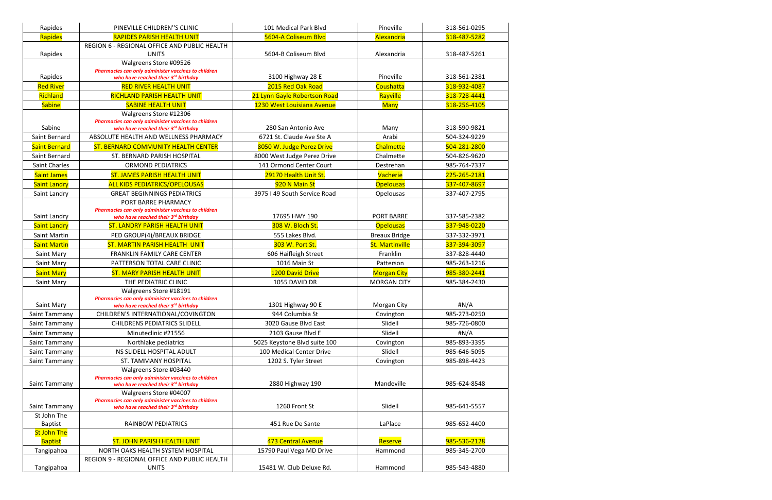| Rapides                              | PINEVILLE CHILDREN"S CLINIC                                                   | 101 Medical Park Blvd        | Pineville              | 318-561-0295 |
|--------------------------------------|-------------------------------------------------------------------------------|------------------------------|------------------------|--------------|
| Rapides                              | <b>RAPIDES PARISH HEALTH UNIT</b>                                             | 5604-A Coliseum Blvd         | Alexandria             | 318-487-5282 |
|                                      | REGION 6 - REGIONAL OFFICE AND PUBLIC HEALTH                                  |                              |                        |              |
| Rapides                              | <b>UNITS</b>                                                                  | 5604-B Coliseum Blvd         | Alexandria             | 318-487-5261 |
|                                      | Walgreens Store #09526                                                        |                              |                        |              |
|                                      | Pharmacies can only administer vaccines to children                           |                              |                        |              |
| Rapides                              | who have reached their 3rd birthday                                           | 3100 Highway 28 E            | Pineville              | 318-561-2381 |
| <b>Red River</b>                     | <b>RED RIVER HEALTH UNIT</b>                                                  | 2015 Red Oak Road            | Coushatta              | 318-932-4087 |
| Richland                             | <b>RICHLAND PARISH HEALTH UNIT</b>                                            | 21 Lynn Gayle Robertson Road | Rayville               | 318-728-4441 |
| <b>Sabine</b>                        | <b>SABINE HEALTH UNIT</b>                                                     | 1230 West Louisiana Avenue   | <b>Many</b>            | 318-256-4105 |
|                                      | Walgreens Store #12306<br>Pharmacies can only administer vaccines to children |                              |                        |              |
| Sabine                               | who have reached their 3rd birthday                                           | 280 San Antonio Ave          | Many                   | 318-590-9821 |
| Saint Bernard                        | ABSOLUTE HEALTH AND WELLNESS PHARMACY                                         | 6721 St. Claude Ave Ste A    | Arabi                  | 504-324-9229 |
| <b>Saint Bernard</b>                 | ST. BERNARD COMMUNITY HEALTH CENTER                                           | 8050 W. Judge Perez Drive    | <b>Chalmette</b>       | 504-281-2800 |
| Saint Bernard                        | ST. BERNARD PARISH HOSPITAL                                                   | 8000 West Judge Perez Drive  | Chalmette              | 504-826-9620 |
| Saint Charles                        | <b>ORMOND PEDIATRICS</b>                                                      | 141 Ormond Center Court      | Destrehan              | 985-764-7337 |
| <b>Saint James</b>                   | <b>ST. JAMES PARISH HEALTH UNIT</b>                                           | 29170 Health Unit St.        | Vacherie               | 225-265-2181 |
| <b>Saint Landry</b>                  | <b>ALL KIDS PEDIATRICS/OPELOUSAS</b>                                          | 920 N Main St                | <b>Opelousas</b>       | 337-407-8697 |
| Saint Landry                         | <b>GREAT BEGINNINGS PEDIATRICS</b>                                            | 3975 I 49 South Service Road | Opelousas              | 337-407-2795 |
|                                      | PORT BARRE PHARMACY                                                           |                              |                        |              |
|                                      | Pharmacies can only administer vaccines to children                           |                              |                        |              |
| Saint Landry                         | who have reached their 3rd birthday                                           | 17695 HWY 190                | <b>PORT BARRE</b>      | 337-585-2382 |
| <b>Saint Landry</b>                  | <b>ST. LANDRY PARISH HEALTH UNIT</b>                                          | 308 W. Bloch St.             | <b>Opelousas</b>       | 337-948-0220 |
| Saint Martin                         | PED GROUP(4)/BREAUX BRIDGE                                                    | 555 Lakes Blvd.              | <b>Breaux Bridge</b>   | 337-332-3971 |
| <b>Saint Martin</b>                  | <b>ST. MARTIN PARISH HEALTH UNIT</b>                                          | 303 W. Port St.              | <b>St. Martinville</b> | 337-394-3097 |
| Saint Mary                           | FRANKLIN FAMILY CARE CENTER                                                   | 606 Haifleigh Street         | Franklin               | 337-828-4440 |
| Saint Mary                           | PATTERSON TOTAL CARE CLINIC                                                   | 1016 Main St                 | Patterson              | 985-263-1216 |
| <b>Saint Mary</b>                    | <b>ST. MARY PARISH HEALTH UNIT</b>                                            | 1200 David Drive             | <b>Morgan City</b>     | 985-380-2441 |
| Saint Mary                           | THE PEDIATRIC CLINIC                                                          | 1055 DAVID DR                | <b>MORGAN CITY</b>     | 985-384-2430 |
|                                      | Walgreens Store #18191                                                        |                              |                        |              |
|                                      | Pharmacies can only administer vaccines to children                           | 1301 Highway 90 E            |                        |              |
| Saint Mary                           | who have reached their 3rd birthday                                           |                              | Morgan City            | #N/A         |
| Saint Tammany                        | CHILDREN'S INTERNATIONAL/COVINGTON                                            | 944 Columbia St              | Covington              | 985-273-0250 |
| Saint Tammany                        | <b>CHILDRENS PEDIATRICS SLIDELL</b>                                           | 3020 Gause Blvd East         | Slidell                | 985-726-0800 |
| Saint Tammany                        | Minuteclinic #21556                                                           | 2103 Gause Blvd E            | Slidell                | #N/A         |
| Saint Tammany                        | Northlake pediatrics                                                          | 5025 Keystone Blvd suite 100 | Covington              | 985-893-3395 |
| Saint Tammany                        | NS SLIDELL HOSPITAL ADULT                                                     | 100 Medical Center Drive     | Slidell                | 985-646-5095 |
| Saint Tammany                        | ST. TAMMANY HOSPITAL                                                          | 1202 S. Tyler Street         | Covington              | 985-898-4423 |
|                                      | Walgreens Store #03440<br>Pharmacies can only administer vaccines to children |                              |                        |              |
| Saint Tammany                        | who have reached their 3rd birthday                                           | 2880 Highway 190             | Mandeville             | 985-624-8548 |
|                                      | Walgreens Store #04007                                                        |                              |                        |              |
|                                      | Pharmacies can only administer vaccines to children                           |                              |                        |              |
| Saint Tammany<br>St John The         | who have reached their 3rd birthday                                           | 1260 Front St                | Slidell                | 985-641-5557 |
|                                      | RAINBOW PEDIATRICS                                                            | 451 Rue De Sante             | LaPlace                |              |
| <b>Baptist</b><br><b>St John The</b> |                                                                               |                              |                        | 985-652-4400 |
| <b>Baptist</b>                       | <b>ST. JOHN PARISH HEALTH UNIT</b>                                            | 473 Central Avenue           | Reserve                | 985-536-2128 |
| Tangipahoa                           | NORTH OAKS HEALTH SYSTEM HOSPITAL                                             | 15790 Paul Vega MD Drive     | Hammond                | 985-345-2700 |
|                                      | REGION 9 - REGIONAL OFFICE AND PUBLIC HEALTH                                  |                              |                        |              |
| Tangipahoa                           | <b>UNITS</b>                                                                  | 15481 W. Club Deluxe Rd.     | Hammond                | 985-543-4880 |